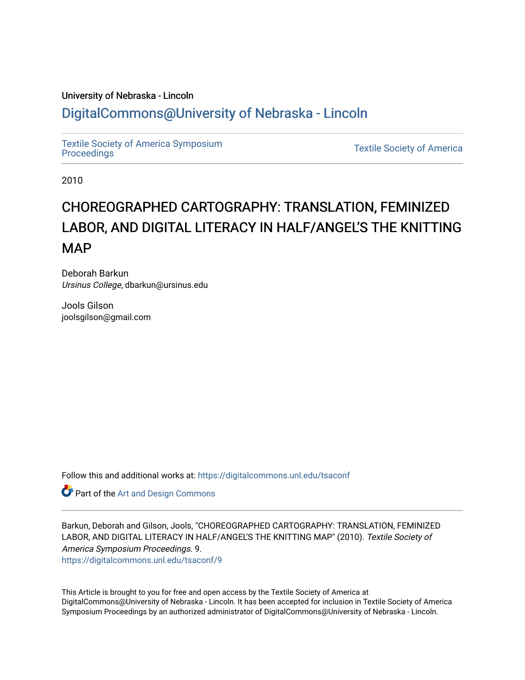## University of Nebraska - Lincoln [DigitalCommons@University of Nebraska - Lincoln](https://digitalcommons.unl.edu/)

[Textile Society of America Symposium](https://digitalcommons.unl.edu/tsaconf) 

**Textile Society of America** 

2010

# CHOREOGRAPHED CARTOGRAPHY: TRANSLATION, FEMINIZED LABOR, AND DIGITAL LITERACY IN HALF/ANGEL'S THE KNITTING MAP

Deborah Barkun Ursinus College, dbarkun@ursinus.edu

Jools Gilson joolsgilson@gmail.com

Follow this and additional works at: [https://digitalcommons.unl.edu/tsaconf](https://digitalcommons.unl.edu/tsaconf?utm_source=digitalcommons.unl.edu%2Ftsaconf%2F9&utm_medium=PDF&utm_campaign=PDFCoverPages)

**Part of the [Art and Design Commons](http://network.bepress.com/hgg/discipline/1049?utm_source=digitalcommons.unl.edu%2Ftsaconf%2F9&utm_medium=PDF&utm_campaign=PDFCoverPages)** 

Barkun, Deborah and Gilson, Jools, "CHOREOGRAPHED CARTOGRAPHY: TRANSLATION, FEMINIZED LABOR, AND DIGITAL LITERACY IN HALF/ANGEL'S THE KNITTING MAP" (2010). Textile Society of America Symposium Proceedings. 9.

[https://digitalcommons.unl.edu/tsaconf/9](https://digitalcommons.unl.edu/tsaconf/9?utm_source=digitalcommons.unl.edu%2Ftsaconf%2F9&utm_medium=PDF&utm_campaign=PDFCoverPages)

This Article is brought to you for free and open access by the Textile Society of America at DigitalCommons@University of Nebraska - Lincoln. It has been accepted for inclusion in Textile Society of America Symposium Proceedings by an authorized administrator of DigitalCommons@University of Nebraska - Lincoln.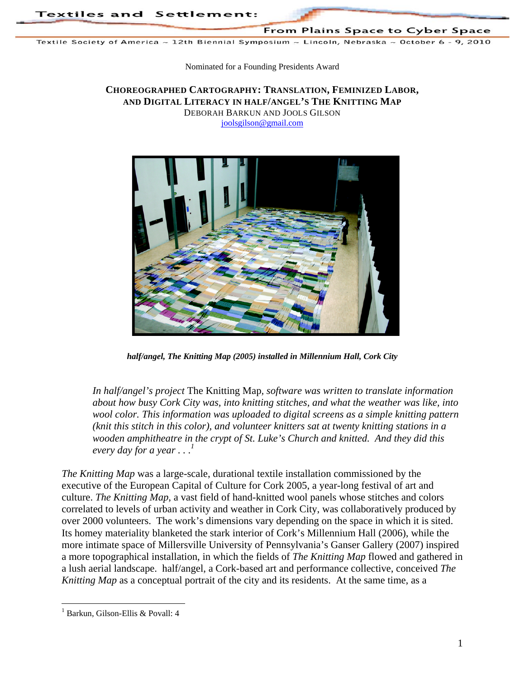From Plains Space to Cyber Space

Textile Society of America ~ 12th Biennial Symposium ~ Lincoln, Nebraska ~ October 6 - 9, 2010

Nominated for a Founding Presidents Award

#### **CHOREOGRAPHED CARTOGRAPHY: TRANSLATION, FEMINIZED LABOR, AND DIGITAL LITERACY IN HALF/ANGEL'S THE KNITTING MAP** DEBORAH BARKUN AND JOOLS GILSON

joolsgilson@gmail.com



*half/angel, The Knitting Map (2005) installed in Millennium Hall, Cork City* 

*In half/angel's project* The Knitting Map*, software was written to translate information about how busy Cork City was, into knitting stitches, and what the weather was like, into wool color. This information was uploaded to digital screens as a simple knitting pattern (knit this stitch in this color), and volunteer knitters sat at twenty knitting stations in a wooden amphitheatre in the crypt of St. Luke's Church and knitted. And they did this every day for a year*  $\ldots$ <sup>1</sup>

*The Knitting Map* was a large-scale, durational textile installation commissioned by the executive of the European Capital of Culture for Cork 2005, a year-long festival of art and culture. *The Knitting Map*, a vast field of hand-knitted wool panels whose stitches and colors correlated to levels of urban activity and weather in Cork City, was collaboratively produced by over 2000 volunteers. The work's dimensions vary depending on the space in which it is sited. Its homey materiality blanketed the stark interior of Cork's Millennium Hall (2006), while the more intimate space of Millersville University of Pennsylvania's Ganser Gallery (2007) inspired a more topographical installation, in which the fields of *The Knitting Map* flowed and gathered in a lush aerial landscape. half/angel, a Cork-based art and performance collective, conceived *The Knitting Map* as a conceptual portrait of the city and its residents. At the same time, as a

<sup>1</sup> Barkun, Gilson-Ellis & Povall: 4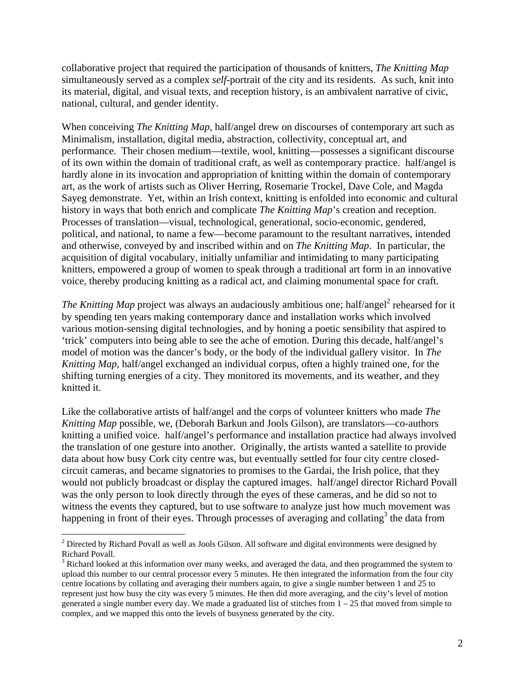collaborative project that required the participation of thousands of knitters, *The Knitting Map* simultaneously served as a complex *self*-portrait of the city and its residents. As such, knit into its material, digital, and visual texts, and reception history, is an ambivalent narrative of civic, national, cultural, and gender identity.

When conceiving *The Knitting Map*, half/angel drew on discourses of contemporary art such as Minimalism, installation, digital media, abstraction, collectivity, conceptual art, and performance. Their chosen medium—textile, wool, knitting—possesses a significant discourse of its own within the domain of traditional craft, as well as contemporary practice. half/angel is hardly alone in its invocation and appropriation of knitting within the domain of contemporary art, as the work of artists such as Oliver Herring, Rosemarie Trockel, Dave Cole, and Magda Sayeg demonstrate. Yet, within an Irish context, knitting is enfolded into economic and cultural history in ways that both enrich and complicate *The Knitting Map*'s creation and reception. Processes of translation—visual, technological, generational, socio-economic, gendered, political, and national, to name a few—become paramount to the resultant narratives, intended and otherwise, conveyed by and inscribed within and on *The Knitting Map*. In particular, the acquisition of digital vocabulary, initially unfamiliar and intimidating to many participating knitters, empowered a group of women to speak through a traditional art form in an innovative voice, thereby producing knitting as a radical act, and claiming monumental space for craft.

*The Knitting Map* project was always an audaciously ambitious one; half/angel<sup>2</sup> rehearsed for it by spending ten years making contemporary dance and installation works which involved various motion-sensing digital technologies, and by honing a poetic sensibility that aspired to 'trick' computers into being able to see the ache of emotion. During this decade, half/angel's model of motion was the dancer's body, or the body of the individual gallery visitor. In *The Knitting Map*, half/angel exchanged an individual corpus, often a highly trained one, for the shifting turning energies of a city. They monitored its movements, and its weather, and they knitted it.

Like the collaborative artists of half/angel and the corps of volunteer knitters who made *The Knitting Map* possible, we, (Deborah Barkun and Jools Gilson), are translators—co-authors knitting a unified voice. half/angel's performance and installation practice had always involved the translation of one gesture into another. Originally, the artists wanted a satellite to provide data about how busy Cork city centre was, but eventually settled for four city centre closedcircuit cameras, and became signatories to promises to the Gardai, the Irish police, that they would not publicly broadcast or display the captured images. half/angel director Richard Povall was the only person to look directly through the eyes of these cameras, and he did so not to witness the events they captured, but to use software to analyze just how much movement was happening in front of their eyes. Through processes of averaging and collating<sup>3</sup> the data from

 $2$  Directed by Richard Povall as well as Jools Gilson. All software and digital environments were designed by Richard Povall.

 $3$  Richard looked at this information over many weeks, and averaged the data, and then programmed the system to upload this number to our central processor every 5 minutes. He then integrated the information from the four city centre locations by collating and averaging their numbers again, to give a single number between 1 and 25 to represent just how busy the city was every 5 minutes. He then did more averaging, and the city's level of motion generated a single number every day. We made a graduated list of stitches from 1 – 25 that moved from simple to complex, and we mapped this onto the levels of busyness generated by the city.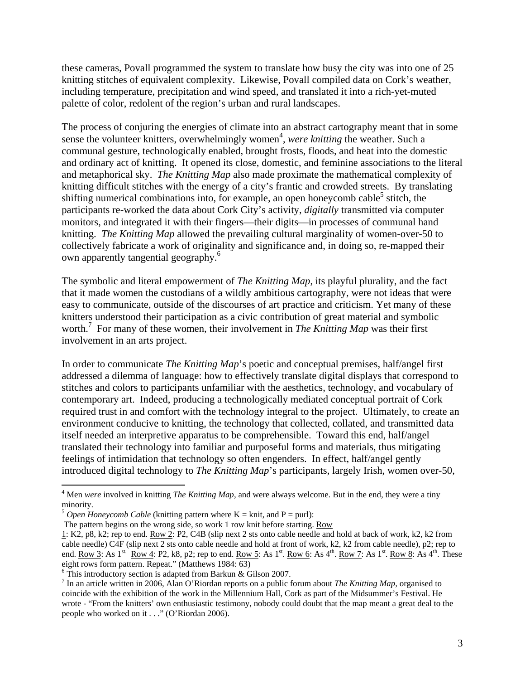these cameras, Povall programmed the system to translate how busy the city was into one of 25 knitting stitches of equivalent complexity. Likewise, Povall compiled data on Cork's weather, including temperature, precipitation and wind speed, and translated it into a rich-yet-muted palette of color, redolent of the region's urban and rural landscapes.

The process of conjuring the energies of climate into an abstract cartography meant that in some sense the volunteer knitters, overwhelmingly women<sup>4</sup>, were knitting the weather. Such a communal gesture, technologically enabled, brought frosts, floods, and heat into the domestic and ordinary act of knitting. It opened its close, domestic, and feminine associations to the literal and metaphorical sky. *The Knitting Map* also made proximate the mathematical complexity of knitting difficult stitches with the energy of a city's frantic and crowded streets. By translating shifting numerical combinations into, for example, an open honeycomb cable<sup>5</sup> stitch, the participants re-worked the data about Cork City's activity, *digitally* transmitted via computer monitors, and integrated it with their fingers—their digits—in processes of communal hand knitting. *The Knitting Map* allowed the prevailing cultural marginality of women-over-50 to collectively fabricate a work of originality and significance and, in doing so, re-mapped their own apparently tangential geography.<sup>6</sup>

The symbolic and literal empowerment of *The Knitting Map*, its playful plurality, and the fact that it made women the custodians of a wildly ambitious cartography, were not ideas that were easy to communicate, outside of the discourses of art practice and criticism. Yet many of these knitters understood their participation as a civic contribution of great material and symbolic worth.<sup>7</sup> For many of these women, their involvement in *The Knitting Map* was their first involvement in an arts project.

In order to communicate *The Knitting Map*'s poetic and conceptual premises, half/angel first addressed a dilemma of language: how to effectively translate digital displays that correspond to stitches and colors to participants unfamiliar with the aesthetics, technology, and vocabulary of contemporary art. Indeed, producing a technologically mediated conceptual portrait of Cork required trust in and comfort with the technology integral to the project. Ultimately, to create an environment conducive to knitting, the technology that collected, collated, and transmitted data itself needed an interpretive apparatus to be comprehensible. Toward this end, half/angel translated their technology into familiar and purposeful forms and materials, thus mitigating feelings of intimidation that technology so often engenders. In effect, half/angel gently introduced digital technology to *The Knitting Map*'s participants, largely Irish, women over-50,

<sup>&</sup>lt;sup>4</sup> Men *were* involved in knitting *The Knitting Map*, and were always welcome. But in the end, they were a tiny minority.

 $5$  *Open Honeycomb Cable* (knitting pattern where K = knit, and P = purl):

The pattern begins on the wrong side, so work 1 row knit before starting. Row

<sup>1:</sup> K2, p8, k2; rep to end. Row 2: P2, C4B (slip next 2 sts onto cable needle and hold at back of work, k2, k2 from cable needle) C4F (slip next 2 sts onto cable needle and hold at front of work, k2, k2 from cable needle), p2; rep to end. Row 3: As  $1^{st.}$  Row 4: P2, k8, p2; rep to end. Row 5: As  $1^{st.}$  Row 6: As  $4^{th.}$  Row 7: As  $1^{st.}$  Row 8: As  $4^{th.}$  These eight rows form pattern. Repeat." (Matthews 1984: 63)

<sup>&</sup>lt;sup>6</sup> This introductory section is adapted from Barkun & Gilson 2007.

<sup>7</sup> In an article written in 2006, Alan O'Riordan reports on a public forum about *The Knitting Map,* organised to coincide with the exhibition of the work in the Millennium Hall, Cork as part of the Midsummer's Festival. He wrote - "From the knitters' own enthusiastic testimony, nobody could doubt that the map meant a great deal to the people who worked on it . . ." (O'Riordan 2006).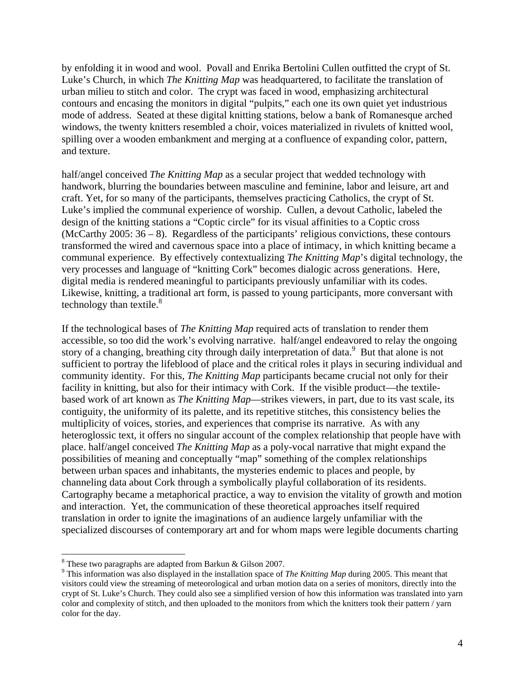by enfolding it in wood and wool. Povall and Enrika Bertolini Cullen outfitted the crypt of St. Luke's Church, in which *The Knitting Map* was headquartered, to facilitate the translation of urban milieu to stitch and color. The crypt was faced in wood, emphasizing architectural contours and encasing the monitors in digital "pulpits," each one its own quiet yet industrious mode of address. Seated at these digital knitting stations, below a bank of Romanesque arched windows, the twenty knitters resembled a choir, voices materialized in rivulets of knitted wool, spilling over a wooden embankment and merging at a confluence of expanding color, pattern, and texture.

half/angel conceived *The Knitting Map* as a secular project that wedded technology with handwork, blurring the boundaries between masculine and feminine, labor and leisure, art and craft. Yet, for so many of the participants, themselves practicing Catholics, the crypt of St. Luke's implied the communal experience of worship. Cullen, a devout Catholic, labeled the design of the knitting stations a "Coptic circle" for its visual affinities to a Coptic cross (McCarthy 2005: 36 – 8). Regardless of the participants' religious convictions, these contours transformed the wired and cavernous space into a place of intimacy, in which knitting became a communal experience. By effectively contextualizing *The Knitting Map*'s digital technology, the very processes and language of "knitting Cork" becomes dialogic across generations. Here, digital media is rendered meaningful to participants previously unfamiliar with its codes. Likewise, knitting, a traditional art form, is passed to young participants, more conversant with technology than textile. $8^8$ 

If the technological bases of *The Knitting Map* required acts of translation to render them accessible, so too did the work's evolving narrative. half/angel endeavored to relay the ongoing story of a changing, breathing city through daily interpretation of data.<sup>9</sup> But that alone is not sufficient to portray the lifeblood of place and the critical roles it plays in securing individual and community identity. For this, *The Knitting Map* participants became crucial not only for their facility in knitting, but also for their intimacy with Cork. If the visible product—the textilebased work of art known as *The Knitting Map*—strikes viewers, in part, due to its vast scale, its contiguity, the uniformity of its palette, and its repetitive stitches, this consistency belies the multiplicity of voices, stories, and experiences that comprise its narrative. As with any heteroglossic text, it offers no singular account of the complex relationship that people have with place. half/angel conceived *The Knitting Map* as a poly-vocal narrative that might expand the possibilities of meaning and conceptually "map" something of the complex relationships between urban spaces and inhabitants, the mysteries endemic to places and people, by channeling data about Cork through a symbolically playful collaboration of its residents. Cartography became a metaphorical practice, a way to envision the vitality of growth and motion and interaction. Yet, the communication of these theoretical approaches itself required translation in order to ignite the imaginations of an audience largely unfamiliar with the specialized discourses of contemporary art and for whom maps were legible documents charting

 $\overline{a}$ <sup>8</sup> These two paragraphs are adapted from Barkun & Gilson 2007.

<sup>&</sup>lt;sup>9</sup> This information was also displayed in the installation space of *The Knitting Map* during 2005. This meant that visitors could view the streaming of meteorological and urban motion data on a series of monitors, directly into the crypt of St. Luke's Church. They could also see a simplified version of how this information was translated into yarn color and complexity of stitch, and then uploaded to the monitors from which the knitters took their pattern / yarn color for the day.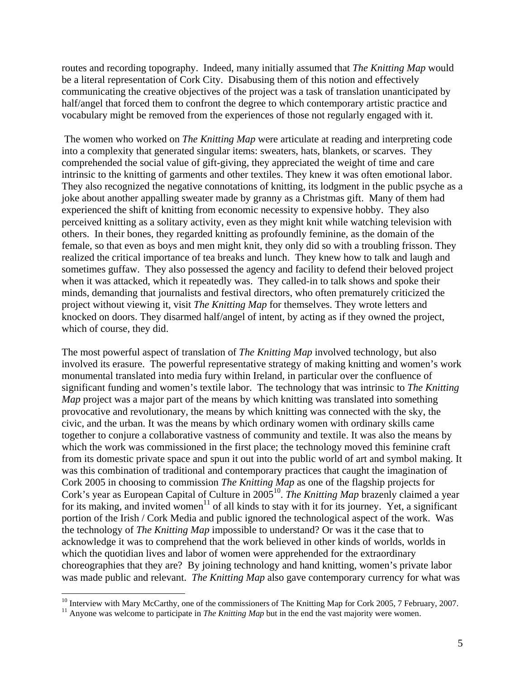routes and recording topography. Indeed, many initially assumed that *The Knitting Map* would be a literal representation of Cork City. Disabusing them of this notion and effectively communicating the creative objectives of the project was a task of translation unanticipated by half/angel that forced them to confront the degree to which contemporary artistic practice and vocabulary might be removed from the experiences of those not regularly engaged with it.

 The women who worked on *The Knitting Map* were articulate at reading and interpreting code into a complexity that generated singular items: sweaters, hats, blankets, or scarves. They comprehended the social value of gift-giving, they appreciated the weight of time and care intrinsic to the knitting of garments and other textiles. They knew it was often emotional labor. They also recognized the negative connotations of knitting, its lodgment in the public psyche as a joke about another appalling sweater made by granny as a Christmas gift. Many of them had experienced the shift of knitting from economic necessity to expensive hobby. They also perceived knitting as a solitary activity, even as they might knit while watching television with others. In their bones, they regarded knitting as profoundly feminine, as the domain of the female, so that even as boys and men might knit, they only did so with a troubling frisson. They realized the critical importance of tea breaks and lunch. They knew how to talk and laugh and sometimes guffaw. They also possessed the agency and facility to defend their beloved project when it was attacked, which it repeatedly was. They called-in to talk shows and spoke their minds, demanding that journalists and festival directors, who often prematurely criticized the project without viewing it, visit *The Knitting Map* for themselves. They wrote letters and knocked on doors. They disarmed half/angel of intent, by acting as if they owned the project, which of course, they did.

The most powerful aspect of translation of *The Knitting Map* involved technology, but also involved its erasure. The powerful representative strategy of making knitting and women's work monumental translated into media fury within Ireland, in particular over the confluence of significant funding and women's textile labor. The technology that was intrinsic to *The Knitting Map* project was a major part of the means by which knitting was translated into something provocative and revolutionary, the means by which knitting was connected with the sky, the civic, and the urban. It was the means by which ordinary women with ordinary skills came together to conjure a collaborative vastness of community and textile. It was also the means by which the work was commissioned in the first place; the technology moved this feminine craft from its domestic private space and spun it out into the public world of art and symbol making. It was this combination of traditional and contemporary practices that caught the imagination of Cork 2005 in choosing to commission *The Knitting Map* as one of the flagship projects for Cork's year as European Capital of Culture in 2005<sup>10</sup>. *The Knitting Map* brazenly claimed a year for its making, and invited women<sup>11</sup> of all kinds to stay with it for its journey. Yet, a significant portion of the Irish / Cork Media and public ignored the technological aspect of the work. Was the technology of *The Knitting Map* impossible to understand? Or was it the case that to acknowledge it was to comprehend that the work believed in other kinds of worlds, worlds in which the quotidian lives and labor of women were apprehended for the extraordinary choreographies that they are? By joining technology and hand knitting, women's private labor was made public and relevant. *The Knitting Map* also gave contemporary currency for what was

1

<sup>&</sup>lt;sup>10</sup> Interview with Mary McCarthy, one of the commissioners of The Knitting Map for Cork 2005, 7 February, 2007.<br><sup>11</sup> Anyone was welcome to participate in *The Knitting Map* but in the end the vast majority were women.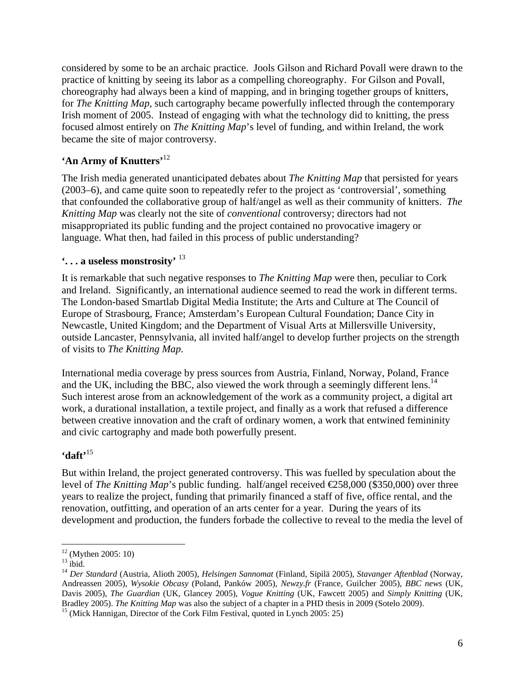considered by some to be an archaic practice. Jools Gilson and Richard Povall were drawn to the practice of knitting by seeing its labor as a compelling choreography. For Gilson and Povall, choreography had always been a kind of mapping, and in bringing together groups of knitters, for *The Knitting Map*, such cartography became powerfully inflected through the contemporary Irish moment of 2005. Instead of engaging with what the technology did to knitting, the press focused almost entirely on *The Knitting Map*'s level of funding, and within Ireland, the work became the site of major controversy.

### **'An Army of Knutters'**<sup>12</sup>

The Irish media generated unanticipated debates about *The Knitting Map* that persisted for years (2003–6), and came quite soon to repeatedly refer to the project as 'controversial', something that confounded the collaborative group of half/angel as well as their community of knitters. *The Knitting Map* was clearly not the site of *conventional* controversy; directors had not misappropriated its public funding and the project contained no provocative imagery or language. What then, had failed in this process of public understanding?

#### **'. . . a useless monstrosity'** <sup>13</sup>

It is remarkable that such negative responses to *The Knitting Map* were then, peculiar to Cork and Ireland. Significantly, an international audience seemed to read the work in different terms. The London-based Smartlab Digital Media Institute; the Arts and Culture at The Council of Europe of Strasbourg, France; Amsterdam's European Cultural Foundation; Dance City in Newcastle, United Kingdom; and the Department of Visual Arts at Millersville University, outside Lancaster, Pennsylvania, all invited half/angel to develop further projects on the strength of visits to *The Knitting Map*.

International media coverage by press sources from Austria, Finland, Norway, Poland, France and the UK, including the BBC, also viewed the work through a seemingly different lens.<sup>14</sup> Such interest arose from an acknowledgement of the work as a community project, a digital art work, a durational installation, a textile project, and finally as a work that refused a difference between creative innovation and the craft of ordinary women, a work that entwined femininity and civic cartography and made both powerfully present.

#### **'daft'**15

But within Ireland, the project generated controversy. This was fuelled by speculation about the level of *The Knitting Map*'s public funding. half/angel received €258,000 (\$350,000) over three years to realize the project, funding that primarily financed a staff of five, office rental, and the renovation, outfitting, and operation of an arts center for a year. During the years of its development and production, the funders forbade the collective to reveal to the media the level of

<u>.</u>

 $12$  (Mythen 2005: 10)

 $^{13}$  ibid.

<sup>14</sup> *Der Standard* (Austria, Alioth 2005), *Helsingen Sannomat* (Finland, Sipilä 2005), *Stavanger Aftenblad* (Norway, Andreassen 2005), *Wysokie Obcasy* (Poland, Panków 2005), *Newzy.fr* (France, Guilcher 2005), *BBC news* (UK, Davis 2005), *The Guardian* (UK, Glancey 2005), *Vogue Knitting* (UK, Fawcett 2005) and *Simply Knitting* (UK, Bradley 2005). *The Knitting Map* was also the subject of a chapter in a PHD thesis in 2009 (Sotelo 2009).<sup>15</sup> (Mick Hannigan, Director of the Cork Film Festival, quoted in Lynch 2005: 25)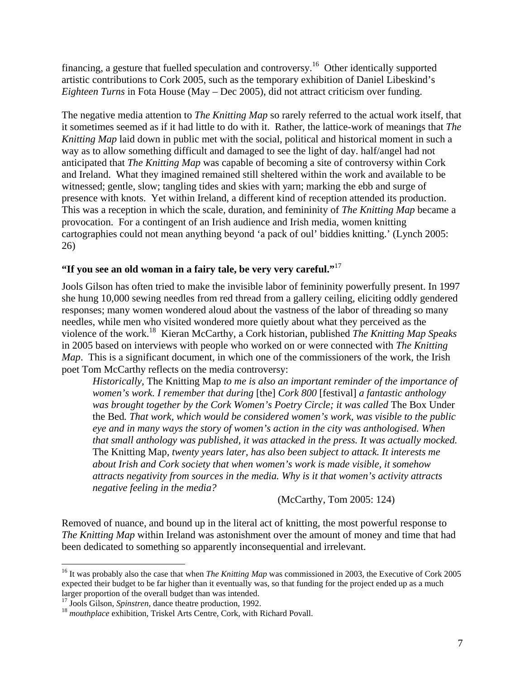financing, a gesture that fuelled speculation and controversy.<sup>16</sup> Other identically supported artistic contributions to Cork 2005, such as the temporary exhibition of Daniel Libeskind's *Eighteen Turns* in Fota House (May – Dec 2005), did not attract criticism over funding.

The negative media attention to *The Knitting Map* so rarely referred to the actual work itself, that it sometimes seemed as if it had little to do with it. Rather, the lattice-work of meanings that *The Knitting Map* laid down in public met with the social, political and historical moment in such a way as to allow something difficult and damaged to see the light of day. half/angel had not anticipated that *The Knitting Map* was capable of becoming a site of controversy within Cork and Ireland. What they imagined remained still sheltered within the work and available to be witnessed; gentle, slow; tangling tides and skies with yarn; marking the ebb and surge of presence with knots. Yet within Ireland, a different kind of reception attended its production. This was a reception in which the scale, duration, and femininity of *The Knitting Map* became a provocation. For a contingent of an Irish audience and Irish media, women knitting cartographies could not mean anything beyond 'a pack of oul' biddies knitting.' (Lynch 2005: 26)

#### **"If you see an old woman in a fairy tale, be very very careful."**<sup>17</sup>

Jools Gilson has often tried to make the invisible labor of femininity powerfully present. In 1997 she hung 10,000 sewing needles from red thread from a gallery ceiling, eliciting oddly gendered responses; many women wondered aloud about the vastness of the labor of threading so many needles, while men who visited wondered more quietly about what they perceived as the violence of the work.18 Kieran McCarthy, a Cork historian, published *The Knitting Map Speaks* in 2005 based on interviews with people who worked on or were connected with *The Knitting Map*. This is a significant document, in which one of the commissioners of the work, the Irish poet Tom McCarthy reflects on the media controversy:

*Historically,* The Knitting Map *to me is also an important reminder of the importance of women's work. I remember that during* [the] *Cork 800* [festival] *a fantastic anthology was brought together by the Cork Women's Poetry Circle; it was called* The Box Under the Bed*. That work, which would be considered women's work, was visible to the public eye and in many ways the story of women's action in the city was anthologised. When that small anthology was published, it was attacked in the press. It was actually mocked.*  The Knitting Map*, twenty years later, has also been subject to attack. It interests me about Irish and Cork society that when women's work is made visible, it somehow attracts negativity from sources in the media. Why is it that women's activity attracts negative feeling in the media?* 

(McCarthy, Tom 2005: 124)

Removed of nuance, and bound up in the literal act of knitting, the most powerful response to *The Knitting Map* within Ireland was astonishment over the amount of money and time that had been dedicated to something so apparently inconsequential and irrelevant.

<sup>&</sup>lt;sup>16</sup> It was probably also the case that when *The Knitting Map* was commissioned in 2003, the Executive of Cork 2005 expected their budget to be far higher than it eventually was, so that funding for the project ended up as a much larger proportion of the overall budget than was intended.<sup>17</sup> Jools Gilson, *Spinstren*, dance theatre production, 1992.

<sup>&</sup>lt;sup>18</sup> mouthplace exhibition, Triskel Arts Centre, Cork, with Richard Povall.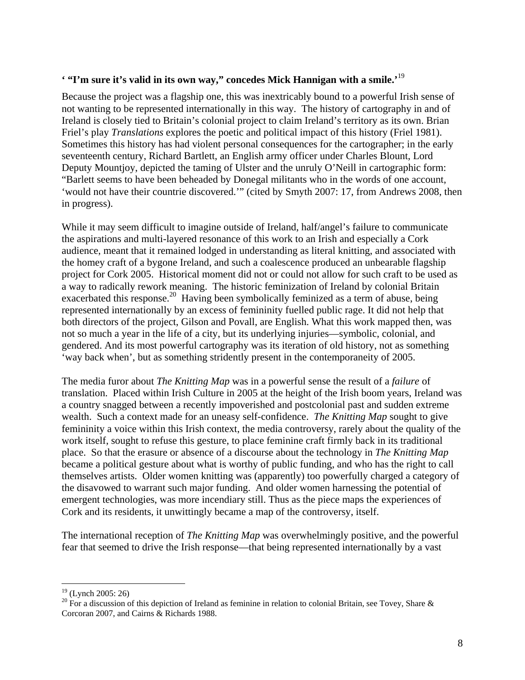#### **' "I'm sure it's valid in its own way," concedes Mick Hannigan with a smile.'**<sup>19</sup>

Because the project was a flagship one, this was inextricably bound to a powerful Irish sense of not wanting to be represented internationally in this way. The history of cartography in and of Ireland is closely tied to Britain's colonial project to claim Ireland's territory as its own. Brian Friel's play *Translations* explores the poetic and political impact of this history (Friel 1981). Sometimes this history has had violent personal consequences for the cartographer; in the early seventeenth century, Richard Bartlett, an English army officer under Charles Blount, Lord Deputy Mountjoy, depicted the taming of Ulster and the unruly O'Neill in cartographic form: "Barlett seems to have been beheaded by Donegal militants who in the words of one account, 'would not have their countrie discovered.'" (cited by Smyth 2007: 17, from Andrews 2008, then in progress).

While it may seem difficult to imagine outside of Ireland, half/angel's failure to communicate the aspirations and multi-layered resonance of this work to an Irish and especially a Cork audience, meant that it remained lodged in understanding as literal knitting, and associated with the homey craft of a bygone Ireland, and such a coalescence produced an unbearable flagship project for Cork 2005. Historical moment did not or could not allow for such craft to be used as a way to radically rework meaning. The historic feminization of Ireland by colonial Britain exacerbated this response.<sup>20</sup> Having been symbolically feminized as a term of abuse, being represented internationally by an excess of femininity fuelled public rage. It did not help that both directors of the project, Gilson and Povall, are English. What this work mapped then, was not so much a year in the life of a city, but its underlying injuries—symbolic, colonial, and gendered. And its most powerful cartography was its iteration of old history, not as something 'way back when', but as something stridently present in the contemporaneity of 2005.

The media furor about *The Knitting Map* was in a powerful sense the result of a *failure* of translation. Placed within Irish Culture in 2005 at the height of the Irish boom years, Ireland was a country snagged between a recently impoverished and postcolonial past and sudden extreme wealth. Such a context made for an uneasy self-confidence. *The Knitting Map* sought to give femininity a voice within this Irish context, the media controversy, rarely about the quality of the work itself, sought to refuse this gesture, to place feminine craft firmly back in its traditional place. So that the erasure or absence of a discourse about the technology in *The Knitting Map* became a political gesture about what is worthy of public funding, and who has the right to call themselves artists. Older women knitting was (apparently) too powerfully charged a category of the disavowed to warrant such major funding. And older women harnessing the potential of emergent technologies, was more incendiary still. Thus as the piece maps the experiences of Cork and its residents, it unwittingly became a map of the controversy, itself.

The international reception of *The Knitting Map* was overwhelmingly positive, and the powerful fear that seemed to drive the Irish response—that being represented internationally by a vast

 $19$  (Lynch 2005: 26)

<sup>&</sup>lt;sup>20</sup> For a discussion of this depiction of Ireland as feminine in relation to colonial Britain, see Tovey, Share & Corcoran 2007, and Cairns & Richards 1988.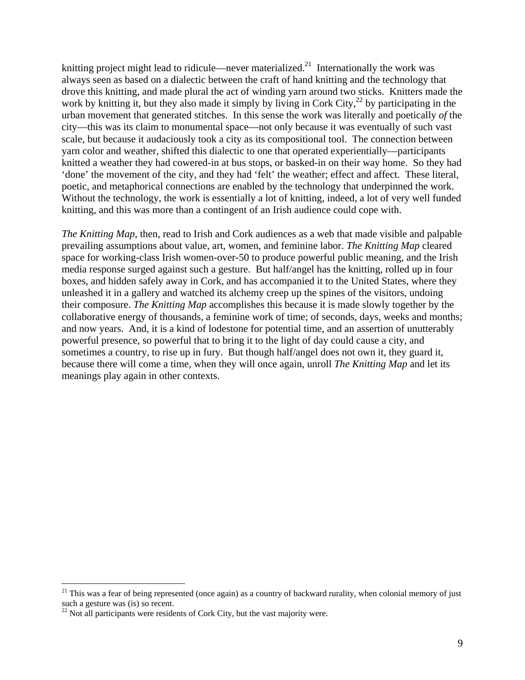knitting project might lead to ridicule—never materialized.<sup>21</sup> Internationally the work was always seen as based on a dialectic between the craft of hand knitting and the technology that drove this knitting, and made plural the act of winding yarn around two sticks. Knitters made the work by knitting it, but they also made it simply by living in Cork City,<sup>22</sup> by participating in the urban movement that generated stitches. In this sense the work was literally and poetically *of* the city—this was its claim to monumental space—not only because it was eventually of such vast scale, but because it audaciously took a city as its compositional tool. The connection between yarn color and weather, shifted this dialectic to one that operated experientially—participants knitted a weather they had cowered-in at bus stops, or basked-in on their way home. So they had 'done' the movement of the city, and they had 'felt' the weather; effect and affect. These literal, poetic, and metaphorical connections are enabled by the technology that underpinned the work. Without the technology, the work is essentially a lot of knitting, indeed, a lot of very well funded knitting, and this was more than a contingent of an Irish audience could cope with.

*The Knitting Map*, then, read to Irish and Cork audiences as a web that made visible and palpable prevailing assumptions about value, art, women, and feminine labor. *The Knitting Map* cleared space for working-class Irish women-over-50 to produce powerful public meaning, and the Irish media response surged against such a gesture. But half/angel has the knitting, rolled up in four boxes, and hidden safely away in Cork, and has accompanied it to the United States, where they unleashed it in a gallery and watched its alchemy creep up the spines of the visitors, undoing their composure. *The Knitting Map* accomplishes this because it is made slowly together by the collaborative energy of thousands, a feminine work of time; of seconds, days, weeks and months; and now years. And, it is a kind of lodestone for potential time, and an assertion of unutterably powerful presence, so powerful that to bring it to the light of day could cause a city, and sometimes a country, to rise up in fury. But though half/angel does not own it, they guard it, because there will come a time, when they will once again, unroll *The Knitting Map* and let its meanings play again in other contexts.

 $21$  This was a fear of being represented (once again) as a country of backward rurality, when colonial memory of just such a gesture was (is) so recent.

 $^{22}$  Not all participants were residents of Cork City, but the vast majority were.